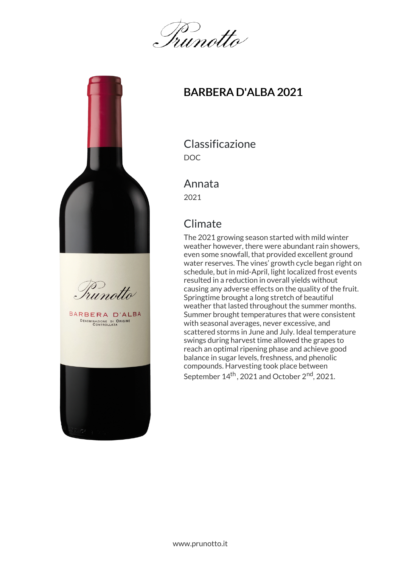Irunotto





BARBERA D'ALBA DENOMINAZIONE DI ORIGINE



## BARBERA D'ALBA 2021

Classificazione DOC

#### Annata

2021

# **Climate**

The 2021 growing season started with mild winter weather however, there were abundant rain showers, even some snowfall, that provided excellent ground water reserves. The vines' growth cycle began right on schedule, but in mid-April, light localized frost events resulted in a reduction in overall yields without causing any adverse effects on the quality of the fruit. Springtime brought a long stretch of beautiful weather that lasted throughout the summer months. Summer brought temperatures that were consistent with seasonal averages, never excessive, and scattered storms in June and July. Ideal temperature swings during harvest time allowed the grapes to reach an optimal ripening phase and achieve good balance in sugar levels, freshness, and phenolic compounds. Harvesting took place between September 14<sup>th</sup>, 2021 and October 2<sup>nd</sup>, 2021.